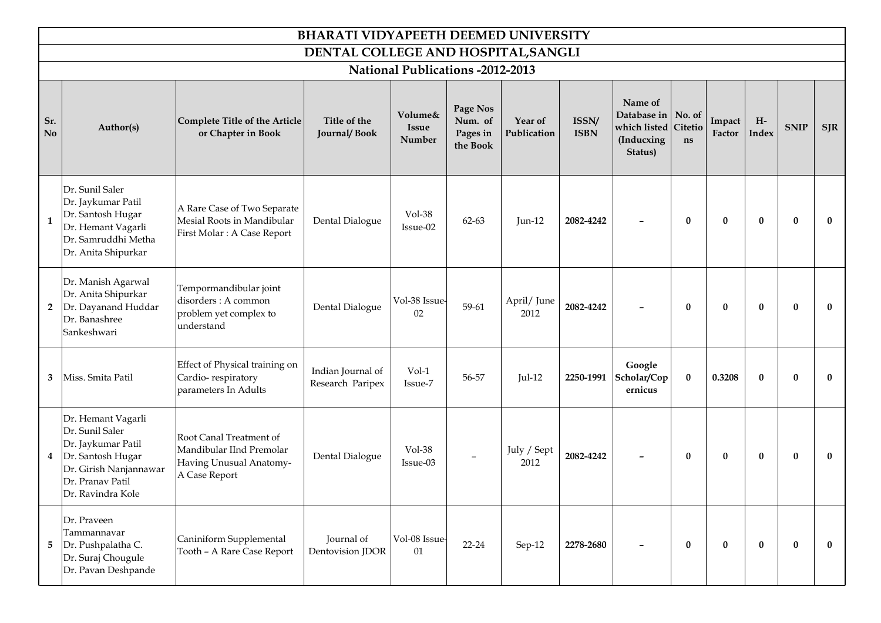|                       | <b>BHARATI VIDYAPEETH DEEMED UNIVERSITY</b>                                                                                                         |                                                                                                 |                                       |                                         |                                             |                        |                             |                                                                 |                         |                  |               |             |            |
|-----------------------|-----------------------------------------------------------------------------------------------------------------------------------------------------|-------------------------------------------------------------------------------------------------|---------------------------------------|-----------------------------------------|---------------------------------------------|------------------------|-----------------------------|-----------------------------------------------------------------|-------------------------|------------------|---------------|-------------|------------|
|                       |                                                                                                                                                     |                                                                                                 | DENTAL COLLEGE AND HOSPITAL, SANGLI   |                                         |                                             |                        |                             |                                                                 |                         |                  |               |             |            |
|                       |                                                                                                                                                     |                                                                                                 |                                       | <b>National Publications -2012-2013</b> |                                             |                        |                             |                                                                 |                         |                  |               |             |            |
| Sr.<br>N <sub>o</sub> | Author(s)                                                                                                                                           | Complete Title of the Article<br>or Chapter in Book                                             | Title of the<br><b>Journal/Book</b>   | Volume&<br><b>Issue</b><br>Number       | Page Nos<br>Num. of<br>Pages in<br>the Book | Year of<br>Publication | <b>ISSN/</b><br><b>ISBN</b> | Name of<br>Database in<br>which listed<br>(Inducxing<br>Status) | No. of<br>Citetio<br>ns | Impact<br>Factor | $H-$<br>Index | <b>SNIP</b> | <b>SJR</b> |
| $\mathbf{1}$          | Dr. Sunil Saler<br>Dr. Jaykumar Patil<br>Dr. Santosh Hugar<br>Dr. Hemant Vagarli<br>Dr. Samruddhi Metha<br>Dr. Anita Shipurkar                      | A Rare Case of Two Separate<br>Mesial Roots in Mandibular<br>First Molar : A Case Report        | Dental Dialogue                       | Vol-38<br>Issue-02                      | 62-63                                       | $Jun-12$               | 2082-4242                   |                                                                 | $\bf{0}$                | $\bf{0}$         | $\bf{0}$      | $\bf{0}$    | $\bf{0}$   |
| $\overline{2}$        | Dr. Manish Agarwal<br>Dr. Anita Shipurkar<br>Dr. Dayanand Huddar<br>Dr. Banashree<br>Sankeshwari                                                    | Tempormandibular joint<br>disorders : A common<br>problem yet complex to<br>understand          | Dental Dialogue                       | Vol-38 Issue-<br>02                     | 59-61                                       | April/June<br>2012     | 2082-4242                   |                                                                 | $\bf{0}$                | $\bf{0}$         | $\bf{0}$      | $\bf{0}$    | $\bf{0}$   |
| 3                     | Miss. Smita Patil                                                                                                                                   | Effect of Physical training on<br>Cardio-respiratory<br>parameters In Adults                    | Indian Journal of<br>Research Paripex | $Vol-1$<br>Issue-7                      | 56-57                                       | $Jul-12$               | 2250-1991                   | Google<br>Scholar/Cop<br>ernicus                                | $\bf{0}$                | 0.3208           | $\bf{0}$      | $\bf{0}$    | $\bf{0}$   |
| $\overline{4}$        | Dr. Hemant Vagarli<br>Dr. Sunil Saler<br>Dr. Jaykumar Patil<br>Dr. Santosh Hugar<br>Dr. Girish Nanjannawar<br>Dr. Pranav Patil<br>Dr. Ravindra Kole | Root Canal Treatment of<br>Mandibular IInd Premolar<br>Having Unusual Anatomy-<br>A Case Report | Dental Dialogue                       | Vol-38<br>Issue-03                      | $\overline{\phantom{m}}$                    | July / Sept<br>2012    | 2082-4242                   |                                                                 | $\bf{0}$                | $\bf{0}$         | $\bf{0}$      | $\bf{0}$    | $\bf{0}$   |
| 5                     | Dr. Praveen<br>Tammannavar<br>Dr. Pushpalatha C.<br>Dr. Suraj Chougule<br>Dr. Pavan Deshpande                                                       | Caniniform Supplemental<br>Tooth - A Rare Case Report                                           | Journal of<br>Dentovision JDOR        | Vol-08 Issue-<br>01                     | $22 - 24$                                   | Sep-12                 | 2278-2680                   |                                                                 | $\bf{0}$                | $\bf{0}$         | $\bf{0}$      | $\bf{0}$    | $\bf{0}$   |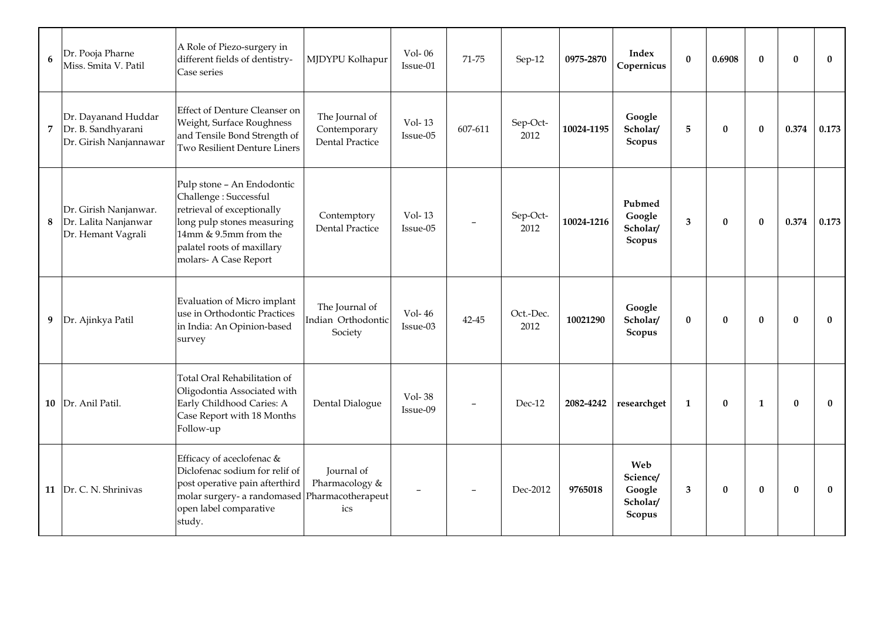| 6 | Dr. Pooja Pharne<br>Miss. Smita V. Patil                            | A Role of Piezo-surgery in<br>different fields of dentistry-<br>Case series                                                                                                                     | MJDYPU Kolhapur                                          | Vol- $06$<br>Issue-01 | 71-75     | Sep-12            | 0975-2870  | <b>Index</b><br>Copernicus                      | $\bf{0}$ | 0.6908       | $\mathbf{0}$ | $\bf{0}$     | $\mathbf{0}$ |
|---|---------------------------------------------------------------------|-------------------------------------------------------------------------------------------------------------------------------------------------------------------------------------------------|----------------------------------------------------------|-----------------------|-----------|-------------------|------------|-------------------------------------------------|----------|--------------|--------------|--------------|--------------|
| 7 | Dr. Dayanand Huddar<br>Dr. B. Sandhyarani<br>Dr. Girish Nanjannawar | <b>Effect of Denture Cleanser on</b><br>Weight, Surface Roughness<br>and Tensile Bond Strength of<br><b>Two Resilient Denture Liners</b>                                                        | The Journal of<br>Contemporary<br><b>Dental Practice</b> | $Vol-13$<br>Issue-05  | 607-611   | Sep-Oct-<br>2012  | 10024-1195 | Google<br>Scholar/<br>Scopus                    | 5        | $\bf{0}$     | $\bf{0}$     | 0.374        | 0.173        |
| 8 | Dr. Girish Nanjanwar.<br>Dr. Lalita Nanjanwar<br>Dr. Hemant Vagrali | Pulp stone - An Endodontic<br>Challenge: Successful<br>retrieval of exceptionally<br>long pulp stones measuring<br>14mm & 9.5mm from the<br>palatel roots of maxillary<br>molars- A Case Report | Contemptory<br><b>Dental Practice</b>                    | Vol-13<br>Issue-05    |           | Sep-Oct-<br>2012  | 10024-1216 | Pubmed<br>Google<br>Scholar/<br>Scopus          | 3        | $\bf{0}$     | $\bf{0}$     | 0.374        | 0.173        |
| 9 | Dr. Ajinkya Patil                                                   | Evaluation of Micro implant<br>use in Orthodontic Practices<br>in India: An Opinion-based<br>survey                                                                                             | The Journal of<br>Indian Orthodontic<br>Society          | Vol-46<br>Issue-03    | $42 - 45$ | Oct.-Dec.<br>2012 | 10021290   | Google<br>Scholar/<br>Scopus                    | $\bf{0}$ | $\bf{0}$     | $\bf{0}$     | $\bf{0}$     | $\Omega$     |
|   | 10 $Dr.$ Anil Patil.                                                | Total Oral Rehabilitation of<br>Oligodontia Associated with<br>Early Childhood Caries: A<br>Case Report with 18 Months<br>Follow-up                                                             | Dental Dialogue                                          | Vol-38<br>Issue-09    |           | Dec-12            | 2082-4242  | researchget                                     | 1        | $\bf{0}$     | 1            | $\bf{0}$     | $\Omega$     |
|   | 11  Dr. C. N. Shrinivas                                             | Efficacy of aceclofenac &<br>Diclofenac sodium for relif of<br>post operative pain afterthird<br>molar surgery- a randomased Pharmacotherapeut<br>open label comparative<br>study.              | Journal of<br>Pharmacology &<br>ics                      |                       |           | Dec-2012          | 9765018    | Web<br>Science/<br>Google<br>Scholar/<br>Scopus | 3        | $\mathbf{0}$ | $\mathbf{0}$ | $\mathbf{0}$ | $\Omega$     |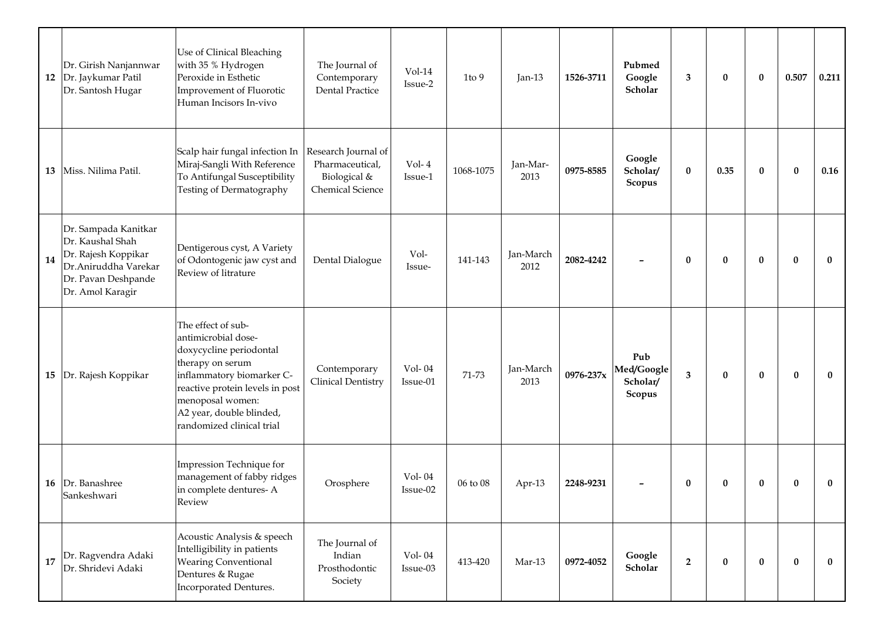| 12 | Dr. Girish Nanjannwar<br>Dr. Jaykumar Patil<br>Dr. Santosh Hugar                                                                   | Use of Clinical Bleaching<br>with 35 % Hydrogen<br>Peroxide in Esthetic<br>Improvement of Fluorotic<br>Human Incisors In-vivo                                                                                                         | The Journal of<br>Contemporary<br><b>Dental Practice</b>                   | $Vol-14$<br>Issue-2   | 1 <sub>to</sub> 9 | Jan-13            | 1526-3711 | Pubmed<br>Google<br>Scholar             | 3                       | $\bf{0}$         | $\bf{0}$ | 0.507    | 0.211    |
|----|------------------------------------------------------------------------------------------------------------------------------------|---------------------------------------------------------------------------------------------------------------------------------------------------------------------------------------------------------------------------------------|----------------------------------------------------------------------------|-----------------------|-------------------|-------------------|-----------|-----------------------------------------|-------------------------|------------------|----------|----------|----------|
| 13 | Miss. Nilima Patil.                                                                                                                | Scalp hair fungal infection In<br>Miraj-Sangli With Reference<br>To Antifungal Susceptibility<br>Testing of Dermatography                                                                                                             | Research Journal of<br>Pharmaceutical,<br>Biological &<br>Chemical Science | Vol-4<br>Issue-1      | 1068-1075         | Jan-Mar-<br>2013  | 0975-8585 | Google<br>Scholar/<br>Scopus            | $\bf{0}$                | 0.35             | 0        | $\bf{0}$ | 0.16     |
| 14 | Dr. Sampada Kanitkar<br>Dr. Kaushal Shah<br>Dr. Rajesh Koppikar<br>Dr.Aniruddha Varekar<br>Dr. Pavan Deshpande<br>Dr. Amol Karagir | Dentigerous cyst, A Variety<br>of Odontogenic jaw cyst and<br>Review of litrature                                                                                                                                                     | Dental Dialogue                                                            | Vol-<br>Issue-        | 141-143           | Jan-March<br>2012 | 2082-4242 |                                         | $\boldsymbol{0}$        | $\bf{0}$         | $\bf{0}$ | $\bf{0}$ | O        |
| 15 | Dr. Rajesh Koppikar                                                                                                                | The effect of sub-<br>antimicrobial dose-<br>doxycycline periodontal<br>therapy on serum<br>inflammatory biomarker C-<br>reactive protein levels in post<br>menoposal women:<br>A2 year, double blinded,<br>randomized clinical trial | Contemporary<br><b>Clinical Dentistry</b>                                  | Vol-04<br>Issue-01    | 71-73             | Jan-March<br>2013 | 0976-237x | Pub<br>Med/Google<br>Scholar/<br>Scopus | $\mathbf{3}$            | $\bf{0}$         | $\bf{0}$ | $\bf{0}$ | 0        |
|    | 16 Dr. Banashree<br>Sankeshwari                                                                                                    | Impression Technique for<br>management of fabby ridges<br>in complete dentures-A<br>Review                                                                                                                                            | Orosphere                                                                  | Vol-04<br>Issue-02    | 06 to 08          | Apr-13            | 2248-9231 |                                         | $\bf{0}$                | $\boldsymbol{0}$ | 0        | $\bf{0}$ |          |
| 17 | Dr. Ragvendra Adaki<br>Dr. Shridevi Adaki                                                                                          | Acoustic Analysis & speech<br>Intelligibility in patients<br><b>Wearing Conventional</b><br>Dentures & Rugae<br>Incorporated Dentures.                                                                                                | The Journal of<br>Indian<br>Prosthodontic<br>Society                       | Vol- $04$<br>Issue-03 | 413-420           | Mar-13            | 0972-4052 | Google<br>Scholar                       | $\overline{\mathbf{2}}$ | $\bf{0}$         | $\bf{0}$ | $\bf{0}$ | $\bf{0}$ |